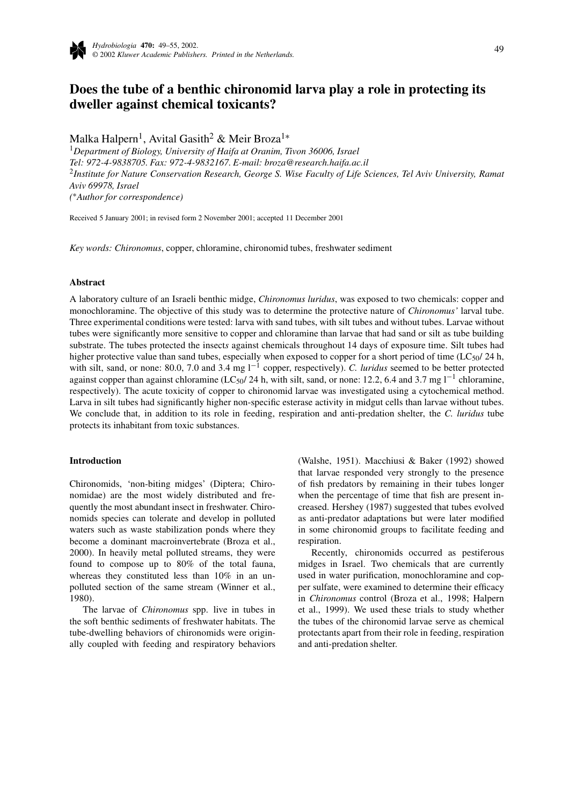

# **Does the tube of a benthic chironomid larva play a role in protecting its dweller against chemical toxicants?**

Malka Halpern<sup>1</sup>, Avital Gasith<sup>2</sup> & Meir Broza<sup>1</sup><sup>\*</sup>

<sup>1</sup>*Department of Biology, University of Haifa at Oranim, Tivon 36006, Israel Tel: 972-4-9838705. Fax: 972-4-9832167. E-mail: broza@research.haifa.ac.il* <sup>2</sup>*Institute for Nature Conservation Research, George S. Wise Faculty of Life Sciences, Tel Aviv University, Ramat Aviv 69978, Israel (* ∗*Author for correspondence)*

Received 5 January 2001; in revised form 2 November 2001; accepted 11 December 2001

*Key words: Chironomus*, copper, chloramine, chironomid tubes, freshwater sediment

## **Abstract**

A laboratory culture of an Israeli benthic midge, *Chironomus luridus*, was exposed to two chemicals: copper and monochloramine. The objective of this study was to determine the protective nature of *Chironomus'* larval tube. Three experimental conditions were tested: larva with sand tubes, with silt tubes and without tubes. Larvae without tubes were significantly more sensitive to copper and chloramine than larvae that had sand or silt as tube building substrate. The tubes protected the insect*s* against chemicals throughout 14 days of exposure time. Silt tubes had higher protective value than sand tubes, especially when exposed to copper for a short period of time ( $LC_{50}/24$  h, with silt, sand, or none: 80.0, 7.0 and 3.4 mg l−<sup>1</sup> copper, respectively). *C. luridus* seemed to be better protected against copper than against chloramine (LC50/ 24 h, with silt, sand, or none: 12.2, 6.4 and 3.7 mg l−<sup>1</sup> chloramine, respectively). The acute toxicity of copper to chironomid larvae was investigated using a cytochemical method. Larva in silt tubes had significantly higher non-specific esterase activity in midgut cells than larvae without tubes. We conclude that, in addition to its role in feeding, respiration and anti-predation shelter, the *C. luridus* tube protects its inhabitant from toxic substances.

#### **Introduction**

Chironomids, 'non-biting midges' (Diptera; Chironomidae) are the most widely distributed and frequently the most abundant insect in freshwater. Chironomids species can tolerate and develop in polluted waters such as waste stabilization ponds where they become a dominant macroinvertebrate (Broza et al., 2000). In heavily metal polluted streams, they were found to compose up to 80% of the total fauna, whereas they constituted less than 10% in an unpolluted section of the same stream (Winner et al., 1980).

The larvae of *Chironomus* spp. live in tubes in the soft benthic sediments of freshwater habitats. The tube-dwelling behaviors of chironomids were originally coupled with feeding and respiratory behaviors (Walshe, 1951). Macchiusi & Baker (1992) showed that larvae responded very strongly to the presence of fish predators by remaining in their tubes longer when the percentage of time that fish are present increased. Hershey (1987) suggested that tubes evolved as anti-predator adaptations but were later modified in some chironomid groups to facilitate feeding and respiration.

Recently, chironomids occurred as pestiferous midges in Israel. Two chemicals that are currently used in water purification, monochloramine and copper sulfate, were examined to determine their efficacy in *Chironomus* control (Broza et al., 1998; Halpern et al., 1999). We used these trials to study whether the tubes of the chironomid larvae serve as chemical protectants apart from their role in feeding, respiration and anti-predation shelter.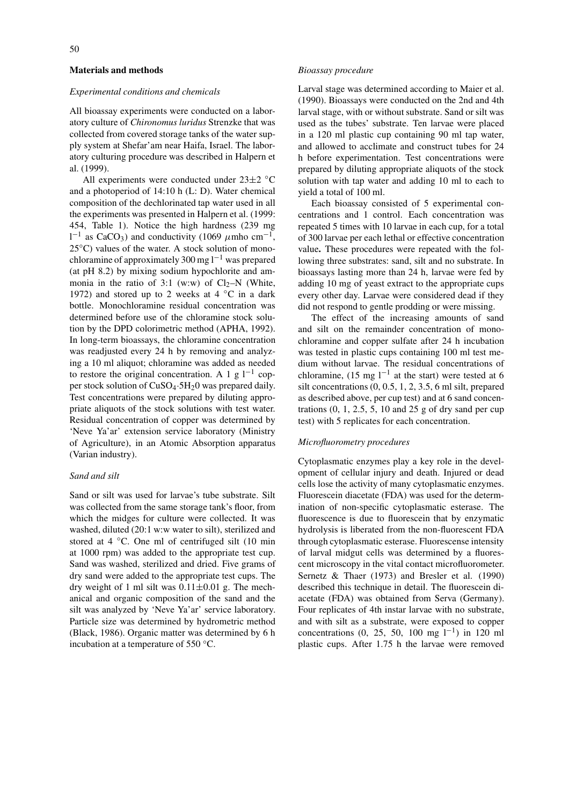# **Materials and methods**

#### *Experimental conditions and chemicals*

All bioassay experiments were conducted on a laboratory culture of *Chironomus luridus* Strenzke that was collected from covered storage tanks of the water supply system at Shefar'am near Haifa, Israel. The laboratory culturing procedure was described in Halpern et al. (1999).

All experiments were conducted under  $23\pm2$  °C and a photoperiod of 14:10 h (L: D). Water chemical composition of the dechlorinated tap water used in all the experiments was presented in Halpern et al. (1999: 454, Table 1). Notice the high hardness (239 mg  $1^{-1}$  as CaCO<sub>3</sub>) and conductivity (1069  $\mu$ mho cm<sup>-1</sup>,  $25^{\circ}$ C) values of the water. A stock solution of monochloramine of approximately 300 mg  $l^{-1}$  was prepared (at pH 8.2) by mixing sodium hypochlorite and ammonia in the ratio of 3:1 (w:w) of  $Cl_2-N$  (White, 1972) and stored up to 2 weeks at  $4 °C$  in a dark bottle. Monochloramine residual concentration was determined before use of the chloramine stock solution by the DPD colorimetric method (APHA, 1992). In long-term bioassays, the chloramine concentration was readjusted every 24 h by removing and analyzing a 10 ml aliquot; chloramine was added as needed to restore the original concentration. A 1 g  $l^{-1}$  copper stock solution of CuSO4·5H20 was prepared daily. Test concentrations were prepared by diluting appropriate aliquots of the stock solutions with test water. Residual concentration of copper was determined by 'Neve Ya'ar' extension service laboratory (Ministry of Agriculture), in an Atomic Absorption apparatus (Varian industry).

## *Sand and silt*

Sand or silt was used for larvae's tube substrate. Silt was collected from the same storage tank's floor, from which the midges for culture were collected. It was washed, diluted (20:1 w:w water to silt), sterilized and stored at 4 °C. One ml of centrifuged silt (10 min at 1000 rpm) was added to the appropriate test cup. Sand was washed, sterilized and dried. Five grams of dry sand were added to the appropriate test cups. The dry weight of 1 ml silt was  $0.11 \pm 0.01$  g. The mechanical and organic composition of the sand and the silt was analyzed by 'Neve Ya'ar' service laboratory. Particle size was determined by hydrometric method (Black, 1986). Organic matter was determined by 6 h incubation at a temperature of 550 ◦C.

## *Bioassay procedure*

Larval stage was determined according to Maier et al. (1990). Bioassays were conducted on the 2nd and 4th larval stage, with or without substrate. Sand or silt was used as the tubes' substrate. Ten larvae were placed in a 120 ml plastic cup containing 90 ml tap water, and allowed to acclimate and construct tubes for 24 h before experimentation. Test concentrations were prepared by diluting appropriate aliquots of the stock solution with tap water and adding 10 ml to each to yield a total of 100 ml.

Each bioassay consisted of 5 experimental concentrations and 1 control. Each concentration was repeated 5 times with 10 larvae in each cup, for a total of 300 larvae per each lethal or effective concentration value**.** These procedures were repeated with the following three substrates: sand, silt and no substrate. In bioassays lasting more than 24 h, larvae were fed by adding 10 mg of yeast extract to the appropriate cups every other day. Larvae were considered dead if they did not respond to gentle prodding or were missing.

The effect of the increasing amounts of sand and silt on the remainder concentration of monochloramine and copper sulfate after 24 h incubation was tested in plastic cups containing 100 ml test medium without larvae. The residual concentrations of chloramine, (15 mg l<sup>-1</sup> at the start) were tested at 6 silt concentrations (0, 0.5, 1, 2, 3.5, 6 ml silt, prepared as described above, per cup test) and at 6 sand concentrations  $(0, 1, 2.5, 5, 10, \text{ and } 25, \text{ g of }$  dry sand per cup test) with 5 replicates for each concentration.

#### *Microfluorometry procedures*

Cytoplasmatic enzymes play a key role in the development of cellular injury and death. Injured or dead cells lose the activity of many cytoplasmatic enzymes. Fluorescein diacetate (FDA) was used for the determination of non-specific cytoplasmatic esterase. The fluorescence is due to fluorescein that by enzymatic hydrolysis is liberated from the non-fluorescent FDA through cytoplasmatic esterase. Fluorescense intensity of larval midgut cells was determined by a fluorescent microscopy in the vital contact microfluorometer. Sernetz & Thaer (1973) and Bresler et al. (1990) described this technique in detail. The fluorescein diacetate (FDA) was obtained from Serva (Germany). Four replicates of 4th instar larvae with no substrate, and with silt as a substrate, were exposed to copper concentrations (0, 25, 50, 100 mg l<sup>-1</sup>) in 120 ml plastic cups. After 1.75 h the larvae were removed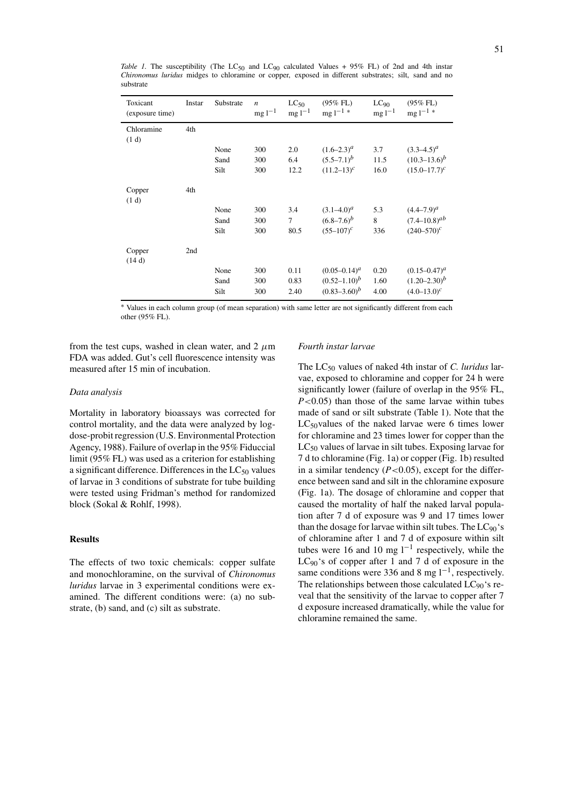| Toxicant<br>(exposure time) | Instar | Substrate | $\boldsymbol{n}$<br>$mg 1^{-1}$ | $LC_{50}$<br>$mg 1^{-1}$ | $(95\%$ FL)<br>$mg l^{-1}$ | $LC_{90}$<br>$mg 1^{-1}$ | $(95\%$ FL)<br>$mg 1^{-1}$ |
|-----------------------------|--------|-----------|---------------------------------|--------------------------|----------------------------|--------------------------|----------------------------|
| Chloramine<br>(1 d)         | 4th    |           |                                 |                          |                            |                          |                            |
|                             |        | None      | 300                             | 2.0                      | $(1.6-2.3)^{a}$            | 3.7                      | $(3.3-4.5)^{a}$            |
|                             |        | Sand      | 300                             | 6.4                      | $(5.5 - 7.1)^b$            | 11.5                     | $(10.3 - 13.6)^b$          |
|                             |        | Silt      | 300                             | 12.2                     | $(11.2 - 13)^c$            | 16.0                     | $(15.0 - 17.7)^c$          |
| Copper<br>(1 d)             | 4th    |           |                                 |                          |                            |                          |                            |
|                             |        | None      | 300                             | 3.4                      | $(3.1 - 4.0)^a$            | 5.3                      | $(4.4 - 7.9)^{a}$          |
|                             |        | Sand      | 300                             | 7                        | $(6.8 - 7.6)^b$            | 8                        | $(7.4 - 10.8)^{ab}$        |
|                             |        | Silt      | 300                             | 80.5                     | $(55-107)^c$               | 336                      | $(240 - 570)^c$            |
| Copper<br>(14d)             | 2nd    |           |                                 |                          |                            |                          |                            |
|                             |        | None      | 300                             | 0.11                     | $(0.05 - 0.14)^a$          | 0.20                     | $(0.15 - 0.47)^a$          |
|                             |        | Sand      | 300                             | 0.83                     | $(0.52 - 1.10)^b$          | 1.60                     | $(1.20 - 2.30)^b$          |
|                             |        | Silt      | 300                             | 2.40                     | $(0.83 - 3.60)^b$          | 4.00                     | $(4.0 - 13.0)^c$           |

*Table 1.* The susceptibility (The  $LC_{50}$  and  $LC_{90}$  calculated Values + 95% FL) of 2nd and 4th instar *Chironomus luridus* midges to chloramine or copper, exposed in different substrates; silt, sand and no substrate

∗ Values in each column group (of mean separation) with same letter are not significantly different from each other (95% FL).

from the test cups, washed in clean water, and  $2 \mu m$ FDA was added. Gut's cell fluorescence intensity was measured after 15 min of incubation.

## *Data analysis*

Mortality in laboratory bioassays was corrected for control mortality, and the data were analyzed by logdose-probit regression (U.S. Environmental Protection Agency, 1988). Failure of overlap in the 95% Fiduccial limit (95% FL) was used as a criterion for establishing a significant difference. Differences in the  $LC_{50}$  values of larvae in 3 conditions of substrate for tube building were tested using Fridman's method for randomized block (Sokal & Rohlf, 1998).

## **Results**

The effects of two toxic chemicals: copper sulfate and monochloramine, on the survival of *Chironomus luridus* larvae in 3 experimental conditions were examined. The different conditions were: (a) no substrate, (b) sand, and (c) silt as substrate.

### *Fourth instar larvae*

The LC50 values of naked 4th instar of *C. luridus* larvae, exposed to chloramine and copper for 24 h were significantly lower (failure of overlap in the 95% FL, *P<*0.05) than those of the same larvae within tubes made of sand or silt substrate (Table 1). Note that the  $LC_{50}$ values of the naked larvae were 6 times lower for chloramine and 23 times lower for copper than the  $LC_{50}$  values of larvae in silt tubes. Exposing larvae for 7 d to chloramine (Fig. 1a) or copper (Fig. 1b) resulted in a similar tendency  $(P<0.05)$ , except for the difference between sand and silt in the chloramine exposure (Fig. 1a). The dosage of chloramine and copper that caused the mortality of half the naked larval population after 7 d of exposure was 9 and 17 times lower than the dosage for larvae within silt tubes. The  $LC_{90}$ 's of chloramine after 1 and 7 d of exposure within silt tubes were 16 and 10 mg  $l^{-1}$  respectively, while the  $LC_{90}$ 's of copper after 1 and 7 d of exposure in the same conditions were 336 and 8 mg  $l^{-1}$ , respectively. The relationships between those calculated  $LC_{90}$ 's reveal that the sensitivity of the larvae to copper after 7 d exposure increased dramatically, while the value for chloramine remained the same.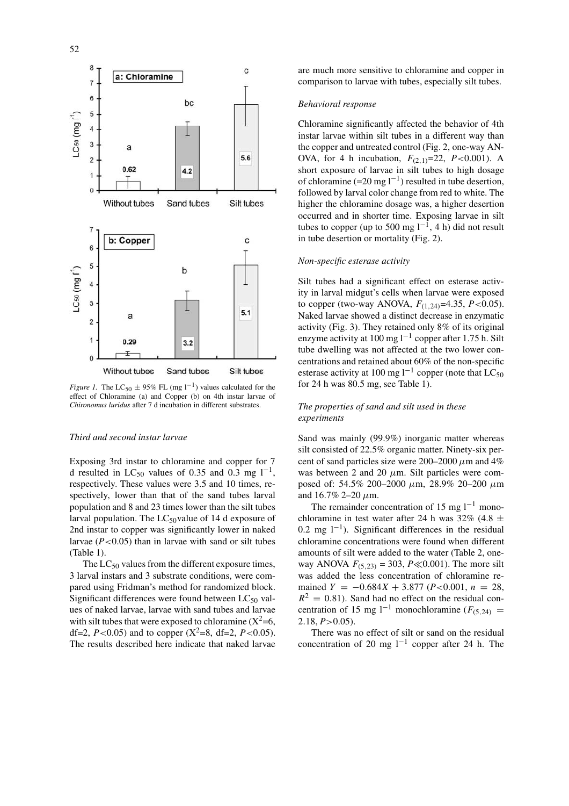

*Figure 1.* The LC<sub>50</sub>  $\pm$  95% FL (mg 1<sup>-1</sup>) values calculated for the effect of Chloramine (a) and Copper (b) on 4th instar larvae of *Chironomus luridus* after 7 d incubation in different substrates.

#### *Third and second instar larvae*

Exposing 3rd instar to chloramine and copper for 7 d resulted in LC<sub>50</sub> values of 0.35 and 0.3 mg l<sup>-1</sup>, respectively. These values were 3.5 and 10 times, respectively, lower than that of the sand tubes larval population and 8 and 23 times lower than the silt tubes larval population. The  $LC_{50}$ value of 14 d exposure of 2nd instar to copper was significantly lower in naked larvae (*P<*0.05) than in larvae with sand or silt tubes (Table 1).

The  $LC_{50}$  values from the different exposure times, 3 larval instars and 3 substrate conditions, were compared using Fridman's method for randomized block. Significant differences were found between  $LC_{50}$  values of naked larvae, larvae with sand tubes and larvae with silt tubes that were exposed to chloramine  $(X^2=6,$ df=2,  $P$ <0.05) and to copper  $(X^2=8, df=2, P<0.05)$ . The results described here indicate that naked larvae are much more sensitive to chloramine and copper in comparison to larvae with tubes, especially silt tubes.

#### *Behavioral response*

Chloramine significantly affected the behavior of 4th instar larvae within silt tubes in a different way than the copper and untreated control (Fig. 2, one-way AN-OVA, for 4 h incubation, *F(*2*,*1*)*=22, *P<*0.001). A short exposure of larvae in silt tubes to high dosage of chloramine (=20 mg l<sup>-1</sup>) resulted in tube desertion, followed by larval color change from red to white. The higher the chloramine dosage was, a higher desertion occurred and in shorter time. Exposing larvae in silt tubes to copper (up to 500 mg  $l^{-1}$ , 4 h) did not result in tube desertion or mortality (Fig. 2).

## *Non-specific esterase activity*

Silt tubes had a significant effect on esterase activity in larval midgut's cells when larvae were exposed to copper (two-way ANOVA, *F(*1*,*24*)*=4.35, *P<*0.05). Naked larvae showed a distinct decrease in enzymatic activity (Fig. 3). They retained only 8% of its original enzyme activity at 100 mg  $l^{-1}$  copper after 1.75 h. Silt tube dwelling was not affected at the two lower concentrations and retained about 60% of the non-specific esterase activity at 100 mg l<sup>-1</sup> copper (note that LC<sub>50</sub>) for 24 h was 80.5 mg, see Table 1).

## *The properties of sand and silt used in these experiments*

Sand was mainly (99.9%) inorganic matter whereas silt consisted of 22.5% organic matter. Ninety-six percent of sand particles size were  $200-2000 \mu m$  and  $4\%$ was between 2 and 20  $\mu$ m. Silt particles were composed of: 54.5% 200–2000 *µ*m, 28.9% 20–200 *µ*m and 16.7% 2–20 *µ*m.

The remainder concentration of 15 mg  $l^{-1}$  monochloramine in test water after 24 h was 32% (4.8  $\pm$ 0.2 mg  $l^{-1}$ ). Significant differences in the residual chloramine concentrations were found when different amounts of silt were added to the water (Table 2, oneway ANOVA  $F_{(5, 23)} = 303$ ,  $P \ll 0.001$ ). The more silt was added the less concentration of chloramine remained  $Y = -0.684X + 3.877$  ( $P < 0.001$ ,  $n = 28$ ,  $R^2 = 0.81$ ). Sand had no effect on the residual concentration of 15 mg l<sup>−1</sup> monochloramine ( $F$ <sub>(5</sub> $24$ ) = 2*.*18, *P>*0.05).

There was no effect of silt or sand on the residual concentration of 20 mg  $l^{-1}$  copper after 24 h. The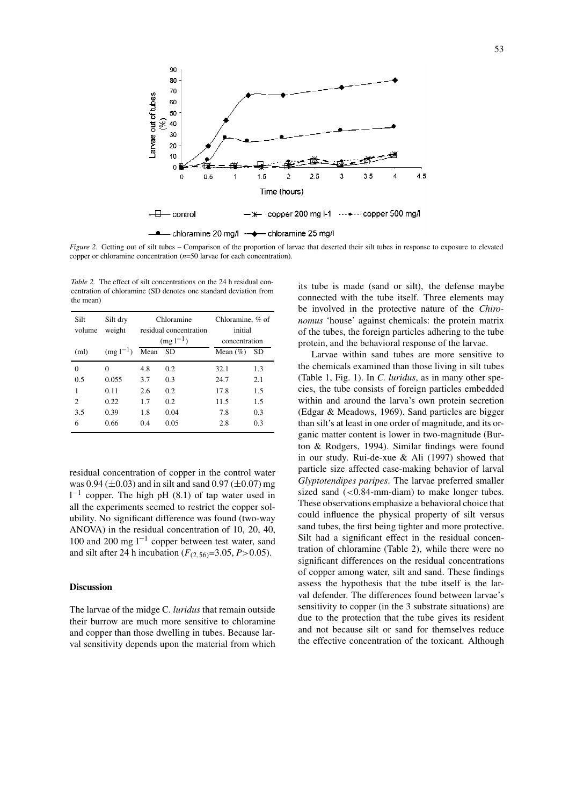

*Figure 2.* Getting out of silt tubes – Comparison of the proportion of larvae that deserted their silt tubes in response to exposure to elevated copper or chloramine concentration (*n*=50 larvae for each concentration).

*Table 2.* The effect of silt concentrations on the 24 h residual concentration of chloramine (SD denotes one standard deviation from the mean)

| Silt<br>volume | Silt dry<br>weight |              | Chloramine<br>residual concentration | Chloramine, % of<br>initial |           |
|----------------|--------------------|--------------|--------------------------------------|-----------------------------|-----------|
|                |                    | $(mg1^{-1})$ |                                      | concentration               |           |
| (ml)           | $(mg1^{-1})$       | Mean         | <b>SD</b>                            | Mean $(\% )$                | <b>SD</b> |
| $\Omega$       | 0                  | 4.8          | 0.2                                  | 32.1                        | 1.3       |
| 0.5            | 0.055              | 3.7          | 0.3                                  | 24.7                        | 2.1       |
| 1              | 0.11               | 2.6          | 0.2                                  | 17.8                        | 1.5       |
| 2              | 0.22               | 1.7          | 0.2                                  | 11.5                        | 1.5       |
| 3.5            | 0.39               | 1.8          | 0.04                                 | 7.8                         | 0.3       |
| 6              | 0.66               | 0.4          | 0.05                                 | 2.8                         | 0.3       |

residual concentration of copper in the control water was  $0.94 (\pm 0.03)$  and in silt and sand  $0.97 (\pm 0.07)$  mg  $1^{-1}$  copper. The high pH (8.1) of tap water used in all the experiments seemed to restrict the copper solubility. No significant difference was found (two-way ANOVA) in the residual concentration of 10, 20, 40, 100 and 200 mg  $l^{-1}$  copper between test water, sand and silt after 24 h incubation (*F(*2*,*56*)*=3.05, *P>*0.05).

## **Discussion**

The larvae of the midge C. *luridus* that remain outside their burrow are much more sensitive to chloramine and copper than those dwelling in tubes. Because larval sensitivity depends upon the material from which its tube is made (sand or silt), the defense maybe connected with the tube itself. Three elements may be involved in the protective nature of the *Chironomus* 'house' against chemicals: the protein matrix of the tubes, the foreign particles adhering to the tube protein, and the behavioral response of the larvae.

Larvae within sand tubes are more sensitive to the chemicals examined than those living in silt tubes (Table 1, Fig. 1). In *C. luridus*, as in many other species, the tube consists of foreign particles embedded within and around the larva's own protein secretion (Edgar & Meadows, 1969). Sand particles are bigger than silt's at least in one order of magnitude, and its organic matter content is lower in two-magnitude (Burton & Rodgers, 1994). Similar findings were found in our study. Rui-de-xue & Ali (1997) showed that particle size affected case-making behavior of larval *Glyptotendipes paripes*. The larvae preferred smaller sized sand (*<*0.84-mm-diam) to make longer tubes. These observations emphasize a behavioral choice that could influence the physical property of silt versus sand tubes, the first being tighter and more protective. Silt had a significant effect in the residual concentration of chloramine (Table 2), while there were no significant differences on the residual concentrations of copper among water, silt and sand. These findings assess the hypothesis that the tube itself is the larval defender. The differences found between larvae's sensitivity to copper (in the 3 substrate situations) are due to the protection that the tube gives its resident and not because silt or sand for themselves reduce the effective concentration of the toxicant. Although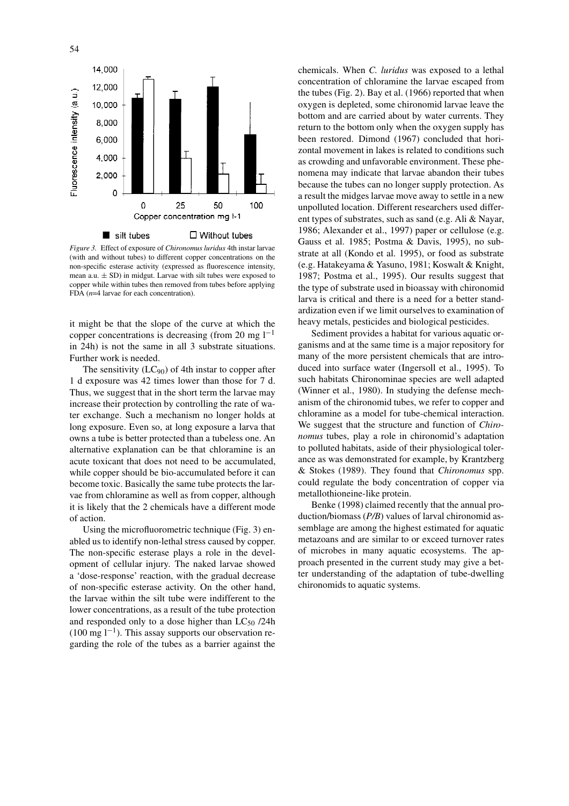

*Figure 3.* Effect of exposure of *Chironomus luridus* 4th instar larvae (with and without tubes) to different copper concentrations on the non-specific esterase activity (expressed as fluorescence intensity, mean a.u. ± SD) in midgut. Larvae with silt tubes were exposed to copper while within tubes then removed from tubes before applying FDA ( $n=4$  larvae for each concentration).

it might be that the slope of the curve at which the copper concentrations is decreasing (from 20 mg  $1^{-1}$ ) in 24h) is not the same in all 3 substrate situations. Further work is needed.

The sensitivity  $(LC_{90})$  of 4th instar to copper after 1 d exposure was 42 times lower than those for 7 d. Thus, we suggest that in the short term the larvae may increase their protection by controlling the rate of water exchange. Such a mechanism no longer holds at long exposure. Even so, at long exposure a larva that owns a tube is better protected than a tubeless one. An alternative explanation can be that chloramine is an acute toxicant that does not need to be accumulated, while copper should be bio-accumulated before it can become toxic. Basically the same tube protects the larvae from chloramine as well as from copper, although it is likely that the 2 chemicals have a different mode of action.

Using the microfluorometric technique (Fig. 3) enabled us to identify non-lethal stress caused by copper. The non-specific esterase plays a role in the development of cellular injury. The naked larvae showed a 'dose-response' reaction, with the gradual decrease of non-specific esterase activity. On the other hand, the larvae within the silt tube were indifferent to the lower concentrations, as a result of the tube protection and responded only to a dose higher than  $LC_{50}$  /24h  $(100 \text{ mg } l^{-1})$ . This assay supports our observation regarding the role of the tubes as a barrier against the

chemicals. When *C. luridus* was exposed to a lethal concentration of chloramine the larvae escaped from the tubes (Fig. 2). Bay et al. (1966) reported that when oxygen is depleted, some chironomid larvae leave the bottom and are carried about by water currents. They return to the bottom only when the oxygen supply has been restored. Dimond (1967) concluded that horizontal movement in lakes is related to conditions such as crowding and unfavorable environment. These phenomena may indicate that larvae abandon their tubes because the tubes can no longer supply protection. As a result the midges larvae move away to settle in a new unpolluted location. Different researchers used different types of substrates, such as sand (e.g. Ali & Nayar, 1986; Alexander et al., 1997) paper or cellulose (e.g. Gauss et al. 1985; Postma & Davis, 1995), no substrate at all (Kondo et al. 1995), or food as substrate (e.g. Hatakeyama & Yasuno, 1981; Koswalt & Knight, 1987; Postma et al., 1995). Our results suggest that the type of substrate used in bioassay with chironomid larva is critical and there is a need for a better standardization even if we limit ourselves to examination of heavy metals, pesticides and biological pesticides.

Sediment provides a habitat for various aquatic organisms and at the same time is a major repository for many of the more persistent chemicals that are introduced into surface water (Ingersoll et al., 1995). To such habitats Chironominae species are well adapted (Winner et al., 1980). In studying the defense mechanism of the chironomid tubes, we refer to copper and chloramine as a model for tube-chemical interaction. We suggest that the structure and function of *Chironomus* tubes, play a role in chironomid's adaptation to polluted habitats, aside of their physiological tolerance as was demonstrated for example, by Krantzberg & Stokes (1989). They found that *Chironomus* spp. could regulate the body concentration of copper via metallothioneine-like protein.

Benke (1998) claimed recently that the annual production/biomass (*P/B*) values of larval chironomid assemblage are among the highest estimated for aquatic metazoans and are similar to or exceed turnover rates of microbes in many aquatic ecosystems. The approach presented in the current study may give a better understanding of the adaptation of tube-dwelling chironomids to aquatic systems.